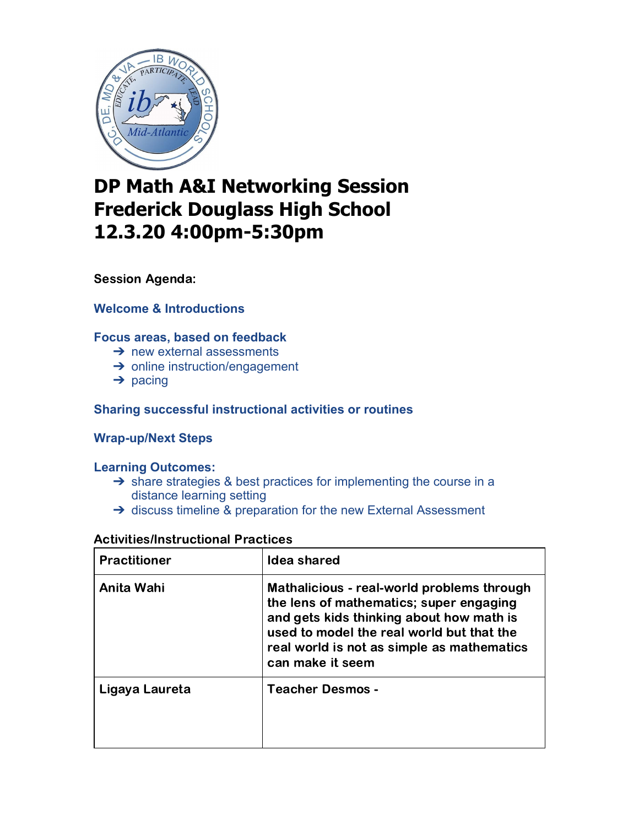

# **DP Math A&I Networking Session Frederick Douglass High School 12.3.20 4:00pm-5:30pm**

Session Agenda:

**Welcome & Introductions**

## **Focus areas, based on feedback**

- $\rightarrow$  new external assessments
- **→** online instruction/engagement
- $\rightarrow$  pacing

### **Sharing successful instructional activities or routines**

#### **Wrap-up/Next Steps**

#### **Learning Outcomes:**

- → share strategies & best practices for implementing the course in a distance learning setting
- → discuss timeline & preparation for the new External Assessment

| <b>Activities/Instructional Practices</b> |  |
|-------------------------------------------|--|
|                                           |  |

| <b>Practitioner</b> | Idea shared                                                                                                                                                                                                                                      |
|---------------------|--------------------------------------------------------------------------------------------------------------------------------------------------------------------------------------------------------------------------------------------------|
| Anita Wahi          | Mathalicious - real-world problems through<br>the lens of mathematics; super engaging<br>and gets kids thinking about how math is<br>used to model the real world but that the<br>real world is not as simple as mathematics<br>can make it seem |
| Ligaya Laureta      | <b>Teacher Desmos -</b>                                                                                                                                                                                                                          |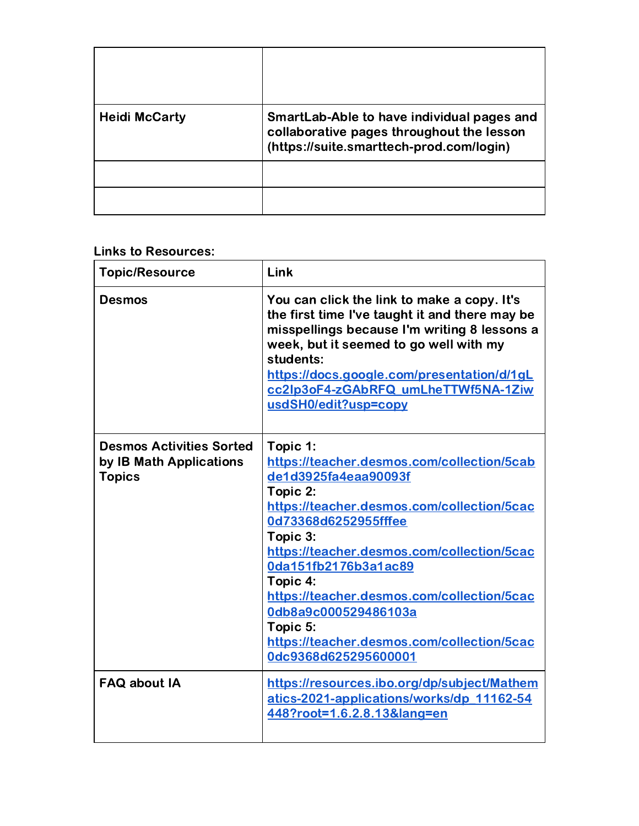| <b>Heidi McCarty</b> | SmartLab-Able to have individual pages and<br>collaborative pages throughout the lesson<br>(https://suite.smarttech-prod.com/login) |
|----------------------|-------------------------------------------------------------------------------------------------------------------------------------|
|                      |                                                                                                                                     |
|                      |                                                                                                                                     |

# Links to Resources:

| <b>Topic/Resource</b>                                                       | Link                                                                                                                                                                                                                                                                                                                                                                                                                   |
|-----------------------------------------------------------------------------|------------------------------------------------------------------------------------------------------------------------------------------------------------------------------------------------------------------------------------------------------------------------------------------------------------------------------------------------------------------------------------------------------------------------|
| <b>Desmos</b>                                                               | You can click the link to make a copy. It's<br>the first time I've taught it and there may be<br>misspellings because I'm writing 8 lessons a<br>week, but it seemed to go well with my<br>students:<br>https://docs.google.com/presentation/d/1gL<br>cc2lp3oF4-zGAbRFQ umLheTTWf5NA-1Ziw<br>usdSH0/edit?usp=copy                                                                                                      |
| <b>Desmos Activities Sorted</b><br>by IB Math Applications<br><b>Topics</b> | Topic 1:<br>https://teacher.desmos.com/collection/5cab<br>de1d3925fa4eaa90093f<br>Topic 2:<br>https://teacher.desmos.com/collection/5cac<br>0d73368d6252955fffee<br>Topic 3:<br>https://teacher.desmos.com/collection/5cac<br>0da151fb2176b3a1ac89<br>Topic 4:<br>https://teacher.desmos.com/collection/5cac<br>0db8a9c000529486103a<br>Topic 5:<br>https://teacher.desmos.com/collection/5cac<br>0dc9368d625295600001 |
| <b>FAQ about IA</b>                                                         | https://resources.ibo.org/dp/subject/Mathem<br>atics-2021-applications/works/dp 11162-54<br>448?root=1.6.2.8.13⟨=en                                                                                                                                                                                                                                                                                                    |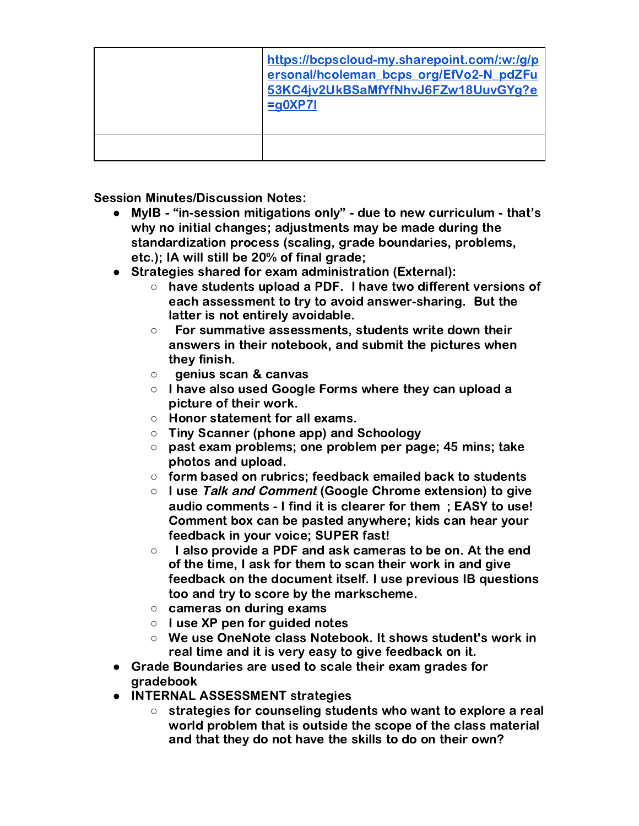| https://bcpscloud-my.sharepoint.com/:w:/g/p<br>ersonal/hcoleman bcps org/EfVo2-N pdZFu<br>53KC4jv2UkBSaMfYfNhvJ6FZw18UuvGYg?e<br>$= q$ OXP7I |
|----------------------------------------------------------------------------------------------------------------------------------------------|
|                                                                                                                                              |

Session Minutes/Discussion Notes:

- MyIB "in-session mitigations only" due to new curriculum that's why no initial changes; adjustments may be made during the standardization process (scaling, grade boundaries, problems, etc.); IA will still be 20% of final grade;
- Strategies shared for exam administration (External):
	- have students upload a PDF. I have two different versions of each assessment to try to avoid answer-sharing. But the latter is not entirely avoidable.
	- For summative assessments, students write down their answers in their notebook, and submit the pictures when they finish.
	- genius scan & canvas
	- I have also used Google Forms where they can upload a picture of their work.
	- Honor statement for all exams.
	- Tiny Scanner (phone app) and Schoology
	- past exam problems; one problem per page; 45 mins; take photos and upload.
	- form based on rubrics; feedback emailed back to students
	- I use Talk and Comment (Google Chrome extension) to give audio comments - I find it is clearer for them ; EASY to use! Comment box can be pasted anywhere; kids can hear your feedback in your voice; SUPER fast!
	- I also provide a PDF and ask cameras to be on. At the end of the time, I ask for them to scan their work in and give feedback on the document itself. I use previous IB questions too and try to score by the markscheme.
	- cameras on during exams
	- I use XP pen for guided notes
	- We use OneNote class Notebook. It shows student's work in real time and it is very easy to give feedback on it.
- Grade Boundaries are used to scale their exam grades for gradebook
- INTERNAL ASSESSMENT strategies
	- strategies for counseling students who want to explore a real world problem that is outside the scope of the class material and that they do not have the skills to do on their own?